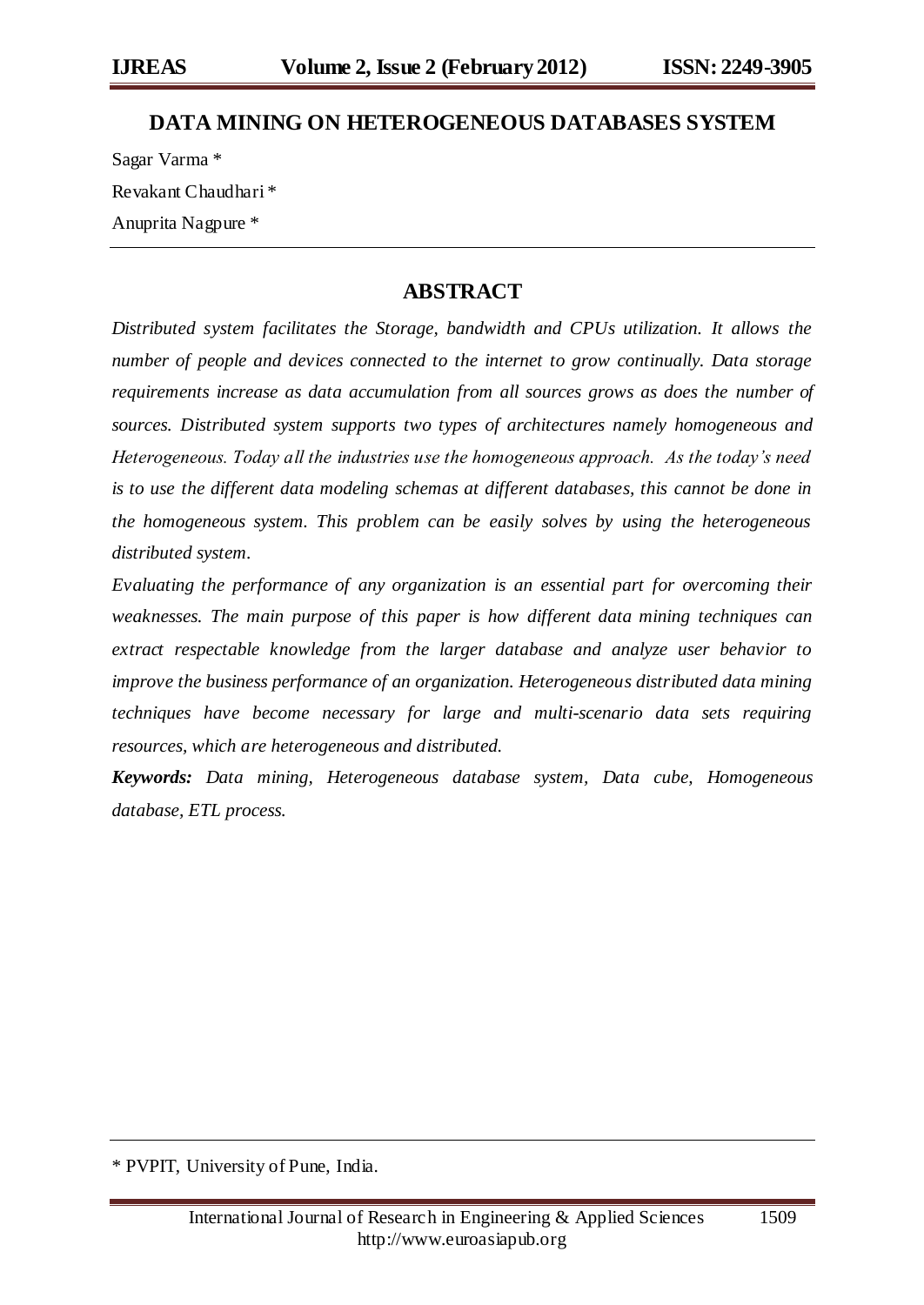### **DATA MINING ON HETEROGENEOUS DATABASES SYSTEM**

Sagar Varma \* Revakant Chaudhari \* Anuprita Nagpure \*

### **ABSTRACT**

*Distributed system facilitates the Storage, bandwidth and CPUs utilization. It allows the number of people and devices connected to the internet to grow continually. Data storage requirements increase as data accumulation from all sources grows as does the number of sources. Distributed system supports two types of architectures namely homogeneous and Heterogeneous. Today all the industries use the homogeneous approach. As the today's need is to use the different data modeling schemas at different databases, this cannot be done in the homogeneous system. This problem can be easily solves by using the heterogeneous distributed system.*

*Evaluating the performance of any organization is an essential part for overcoming their weaknesses. The main purpose of this paper is how different data mining techniques can extract respectable knowledge from the larger database and analyze user behavior to improve the business performance of an organization. Heterogeneous distributed data mining techniques have become necessary for large and multi-scenario data sets requiring resources, which are heterogeneous and distributed.*

*Keywords: Data mining, Heterogeneous database system, Data cube, Homogeneous database, ETL process.*

\* PVPIT, University of Pune, India.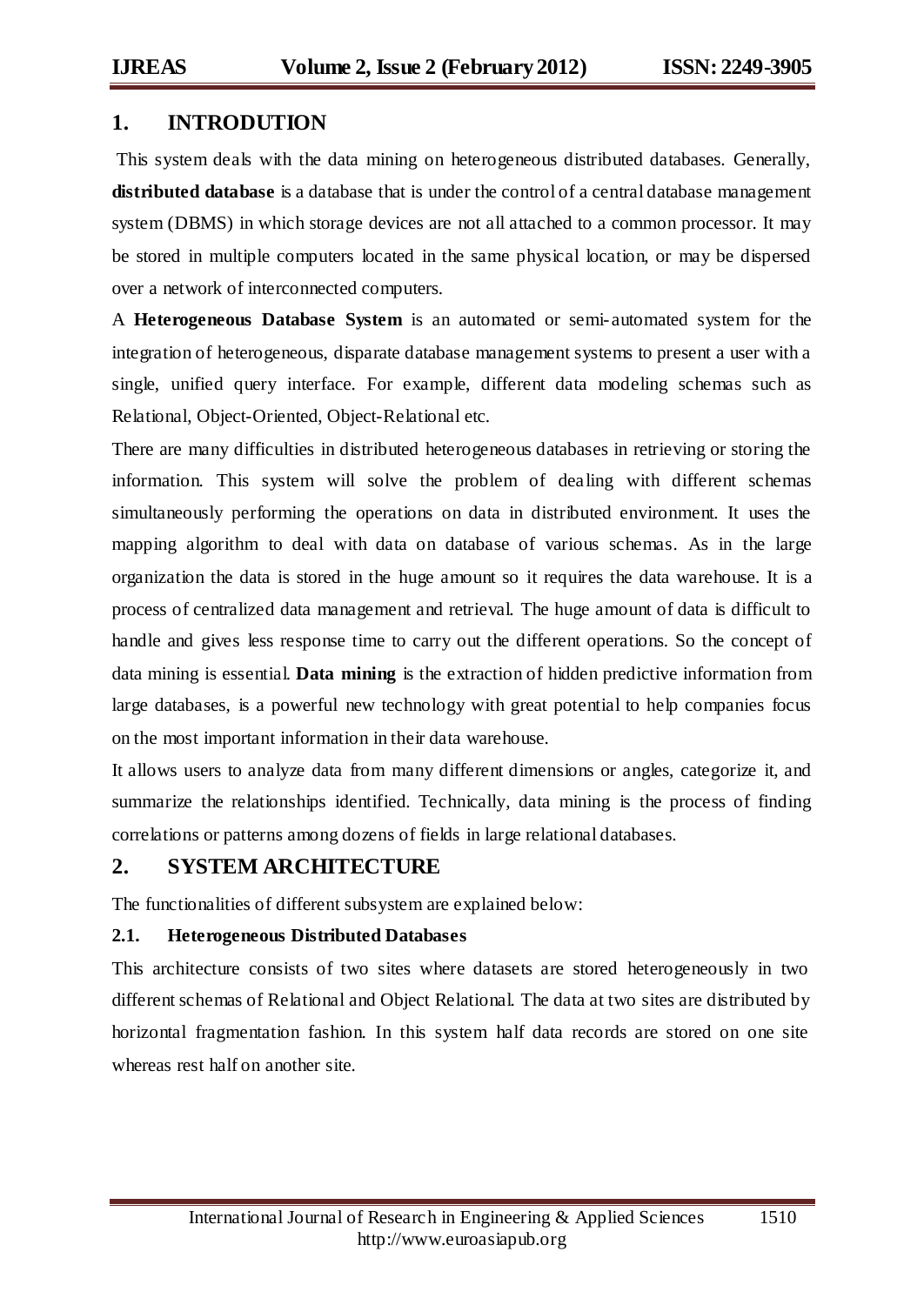## **1. INTRODUTION**

This system deals with the data mining on heterogeneous distributed databases. Generally, **distributed database** is a database that is under the control of a central database management system (DBMS) in which storage devices are not all attached to a common processor. It may be stored in multiple computers located in the same physical location, or may be dispersed over a network of interconnected computers.

A **Heterogeneous Database System** is an automated or semi-automated system for the integration of heterogeneous, disparate database management systems to present a user with a single, unified query interface. For example, different data modeling schemas such as Relational, Object-Oriented, Object-Relational etc.

There are many difficulties in distributed heterogeneous databases in retrieving or storing the information. This system will solve the problem of dealing with different schemas simultaneously performing the operations on data in distributed environment. It uses the mapping algorithm to deal with data on database of various schemas. As in the large organization the data is stored in the huge amount so it requires the data warehouse. It is a process of centralized data management and retrieval. The huge amount of data is difficult to handle and gives less response time to carry out the different operations. So the concept of data mining is essential. **Data mining** is the extraction of hidden predictive information from large databases, is a powerful new technology with great potential to help companies focus on the most important information in their data warehouse.

It allows users to analyze data from many different dimensions or angles, categorize it, and summarize the relationships identified. Technically, data mining is the process of finding correlations or patterns among dozens of fields in large relational databases.

#### **2. SYSTEM ARCHITECTURE**

The functionalities of different subsystem are explained below:

#### **2.1. Heterogeneous Distributed Databases**

This architecture consists of two sites where datasets are stored heterogeneously in two different schemas of Relational and Object Relational. The data at two sites are distributed by horizontal fragmentation fashion. In this system half data records are stored on one site whereas rest half on another site.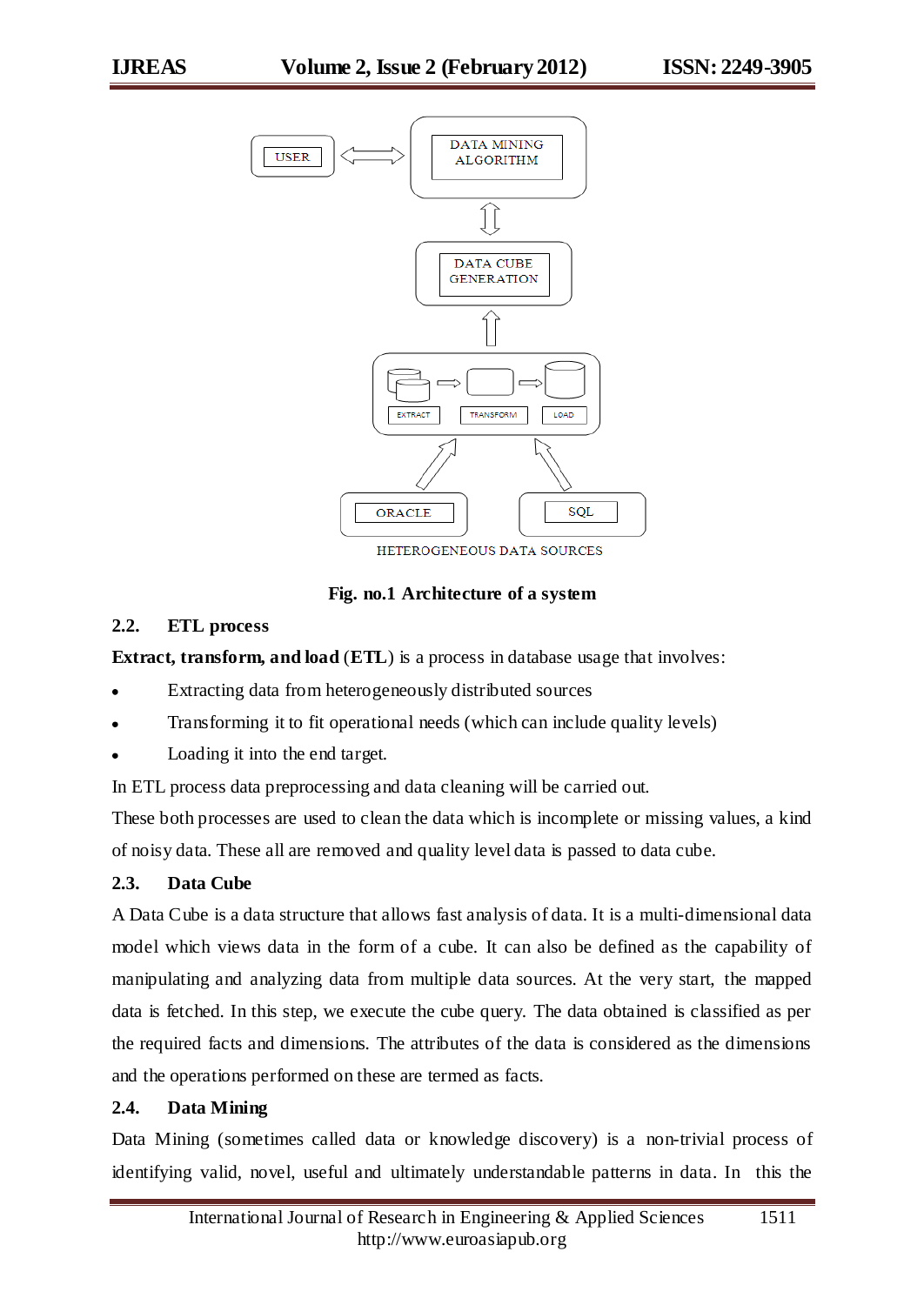

HETEROGENEOUS DATA SOURCES

**Fig. no.1 Architecture of a system**

#### **2.2. ETL process**

**Extract, transform, and load** (**ETL**) is a process i[n database](http://en.wikipedia.org/wiki/Database) usage that involves:

- Extracting data from heterogeneously distributed sources
- [Transforming](http://en.wikipedia.org/wiki/Data_transformation) it to fit operational needs (which can include quality levels)
- Loading it into the end target.

In ETL process data preprocessing and data cleaning will be carried out.

These both processes are used to clean the data which is incomplete or missing values, a kind of noisy data. These all are removed and quality level data is passed to data cube.

#### **2.3. Data Cube**

A Data Cube is a data structure that allows fast analysis of data. It is a multi-dimensional data model which views data in the form of a cube. It can also be defined as the capability of manipulating and analyzing data from multiple data sources. At the very start, the mapped data is fetched. In this step, we execute the cube query. The data obtained is classified as per the required facts and dimensions. The attributes of the data is considered as the dimensions and the operations performed on these are termed as facts.

#### **2.4. Data Mining**

Data Mining (sometimes called data or knowledge discovery) is a non-trivial process of identifying valid, novel, useful and ultimately understandable patterns in data. In this the